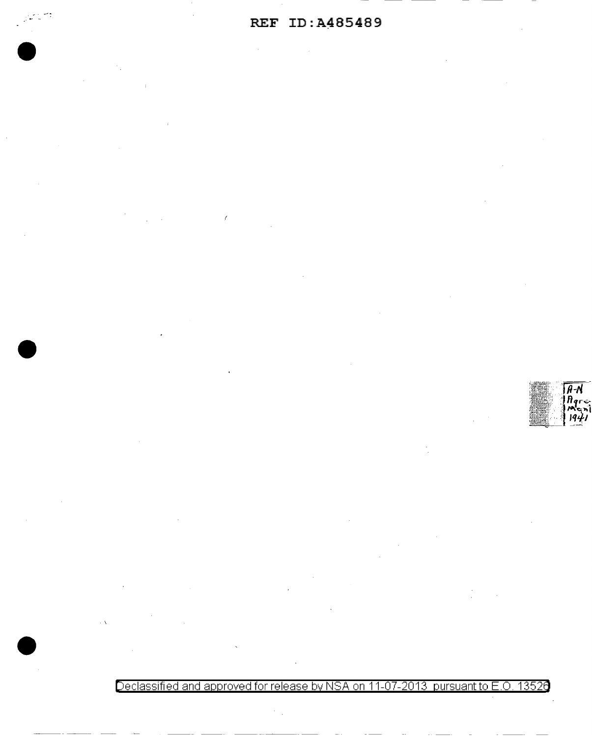$\overline{\mathsf{A}}\overline{\mathsf{A}}$ 

Declassified and approved for release **by** NSA on 11-07-2013 pursuant to E .0. 1352a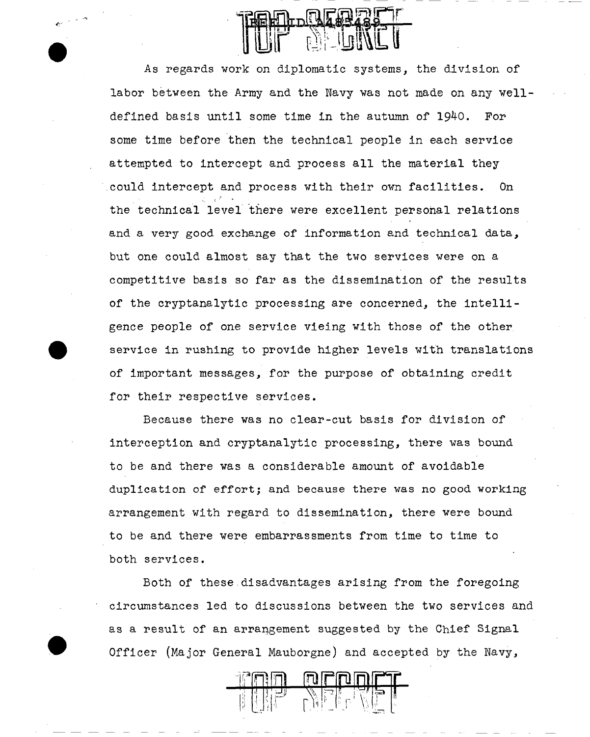As regards work on diplomatic systems, the division of labor between the Army and the Navy was not made on any welldefined basis until some time in the autumn of 1940. For some time before then the technical people in each service attempted to intercept and process all the material they .could intercept and process with their own facilities. On the technical level there were excellent personal relations and a very good exchange of information and technical data, but one could almost say that the two services were on a competitive basis so far as the dissemination of the results of the cryptanalytic processing are concerned, the intelligence people of one service vieing with those of the other service in rushing to provide higher levels with translations of important messages, for the purpose of obtaining credit for their respective services.

•<br>•<br>•

•

Because there was no clear-cut basis for division of interception and cryptanalytic processing, there was bound to be and there was a considerable amount of avoidable duplication of effort; and because there was no good working arrangement with regard to dissemination, there were bound to be and there were embarrassments from time to time to both services.

Both of these disadvantages arising from the foregoing circumstances led to discussions between the two services and as a result of an arrangement suggested by the Chief Signal Officer (Major General Mauborgne) and accepted by the Navy,